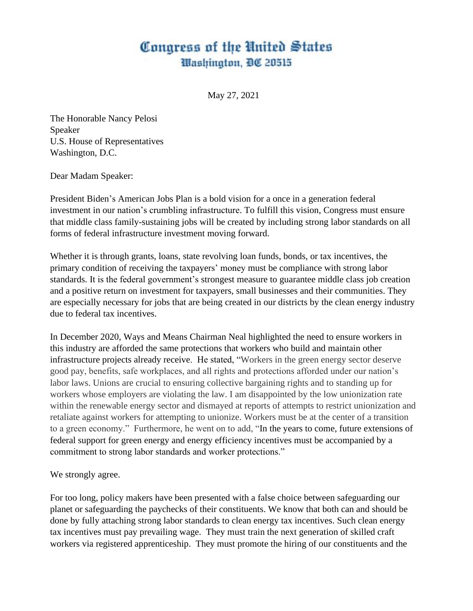## Congress of the United States Washington, DC 20515

May 27, 2021

The Honorable Nancy Pelosi Speaker U.S. House of Representatives Washington, D.C.

Dear Madam Speaker:

President Biden's American Jobs Plan is a bold vision for a once in a generation federal investment in our nation's crumbling infrastructure. To fulfill this vision, Congress must ensure that middle class family-sustaining jobs will be created by including strong labor standards on all forms of federal infrastructure investment moving forward.

Whether it is through grants, loans, state revolving loan funds, bonds, or tax incentives, the primary condition of receiving the taxpayers' money must be compliance with strong labor standards. It is the federal government's strongest measure to guarantee middle class job creation and a positive return on investment for taxpayers, small businesses and their communities. They are especially necessary for jobs that are being created in our districts by the clean energy industry due to federal tax incentives.

In December 2020, Ways and Means Chairman Neal highlighted the need to ensure workers in this industry are afforded the same protections that workers who build and maintain other infrastructure projects already receive. He stated, "Workers in the green energy sector deserve good pay, benefits, safe workplaces, and all rights and protections afforded under our nation's labor laws. Unions are crucial to ensuring collective bargaining rights and to standing up for workers whose employers are violating the law. I am disappointed by the low unionization rate within the renewable energy sector and dismayed at reports of attempts to restrict unionization and retaliate against workers for attempting to unionize. Workers must be at the center of a transition to a green economy." Furthermore, he went on to add, "In the years to come, future extensions of federal support for green energy and energy efficiency incentives must be accompanied by a commitment to strong labor standards and worker protections."

We strongly agree.

For too long, policy makers have been presented with a false choice between safeguarding our planet or safeguarding the paychecks of their constituents. We know that both can and should be done by fully attaching strong labor standards to clean energy tax incentives. Such clean energy tax incentives must pay prevailing wage. They must train the next generation of skilled craft workers via registered apprenticeship. They must promote the hiring of our constituents and the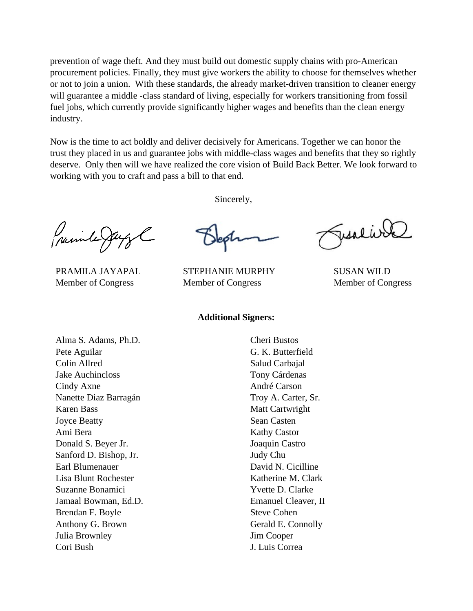prevention of wage theft. And they must build out domestic supply chains with pro-American procurement policies. Finally, they must give workers the ability to choose for themselves whether or not to join a union. With these standards, the already market-driven transition to cleaner energy will guarantee a middle -class standard of living, especially for workers transitioning from fossil fuel jobs, which currently provide significantly higher wages and benefits than the clean energy industry.

Now is the time to act boldly and deliver decisively for Americans. Together we can honor the trust they placed in us and guarantee jobs with middle-class wages and benefits that they so rightly deserve. Only then will we have realized the core vision of Build Back Better. We look forward to working with you to craft and pass a bill to that end.

Sincerely,

Juinte Ja

PRAMILA JAYAPAL STEPHANIE MURPHY SUSAN WILD Member of Congress Member of Congress Member of Congress

## **Additional Signers:**

Alma S. Adams, Ph.D. Pete Aguilar Colin Allred Jake Auchincloss Cindy Axne Nanette Diaz Barragán Karen Bass Joyce Beatty Ami Bera Donald S. Beyer Jr. Sanford D. Bishop, Jr. Earl Blumenauer Lisa Blunt Rochester Suzanne Bonamici Jamaal Bowman, Ed.D. Brendan F. Boyle Anthony G. Brown Julia Brownley Cori Bush

Cheri Bustos G. K. Butterfield Salud Carbajal Tony Cárdenas André Carson Troy A. Carter, Sr. Matt Cartwright Sean Casten Kathy Castor Joaquin Castro Judy Chu David N. Cicilline Katherine M. Clark Yvette D. Clarke Emanuel Cleaver, II Steve Cohen Gerald E. Connolly Jim Cooper J. Luis Correa

Jesseive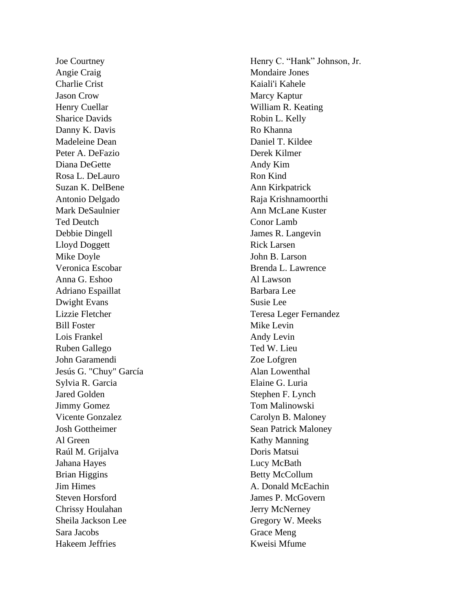Joe Courtney Angie Craig Charlie Crist Jason Crow Henry Cuellar Sharice Davids Danny K. Davis Madeleine Dean Peter A. DeFazio Diana DeGette Rosa L. DeLauro Suzan K. DelBene Antonio Delgado Mark DeSaulnier Ted Deutch Debbie Dingell Lloyd Doggett Mike Doyle Veronica Escobar Anna G. Eshoo Adriano Espaillat Dwight Evans Lizzie Fletcher Bill Foster Lois Frankel Ruben Gallego John Garamendi Jesús G. "Chuy" García Sylvia R. Garcia Jared Golden Jimmy Gomez Vicente Gonzalez Josh Gottheimer Al Green Raúl M. Grijalva Jahana Hayes Brian Higgins Jim Himes Steven Horsford Chrissy Houlahan Sheila Jackson Lee Sara Jacobs Hakeem Jeffries

Henry C. "Hank" Johnson, Jr. Mondaire Jones Kaiali'i Kahele Marcy Kaptur William R. Keating Robin L. Kelly Ro Khanna Daniel T. Kildee Derek Kilmer Andy Kim Ron Kind Ann Kirkpatrick Raja Krishnamoorthi Ann McLane Kuster Conor Lamb James R. Langevin Rick Larsen John B. Larson Brenda L. Lawrence Al Lawson Barbara Lee Susie Lee Teresa Leger Fernandez Mike Levin Andy Levin Ted W. Lieu Zoe Lofgren Alan Lowenthal Elaine G. Luria Stephen F. Lynch Tom Malinowski Carolyn B. Maloney Sean Patrick Maloney Kathy Manning Doris Matsui Lucy McBath Betty McCollum A. Donald McEachin James P. McGovern Jerry McNerney Gregory W. Meeks Grace Meng Kweisi Mfume